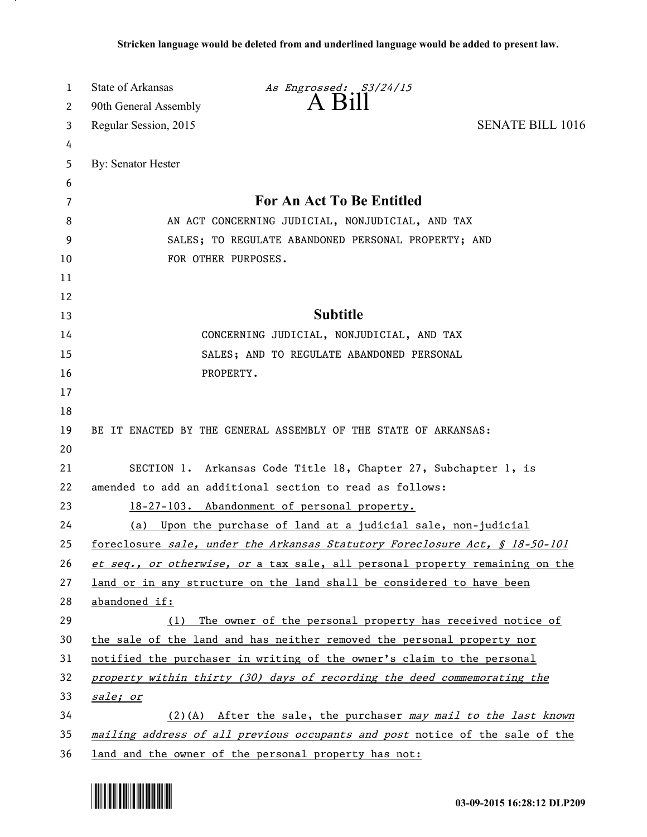| $A$ $B111$<br>90th General Assembly<br>2<br><b>SENATE BILL 1016</b><br>Regular Session, 2015<br>3<br>4<br>By: Senator Hester<br>5<br>6<br>For An Act To Be Entitled<br>7<br>AN ACT CONCERNING JUDICIAL, NONJUDICIAL, AND TAX<br>8<br>9<br>SALES; TO REGULATE ABANDONED PERSONAL PROPERTY; AND<br>FOR OTHER PURPOSES.<br>10<br>11<br>12<br><b>Subtitle</b><br>13<br>14<br>CONCERNING JUDICIAL, NONJUDICIAL, AND TAX<br>15<br>SALES; AND TO REGULATE ABANDONED PERSONAL<br>16<br>PROPERTY.<br>17<br>18<br>BE IT ENACTED BY THE GENERAL ASSEMBLY OF THE STATE OF ARKANSAS:<br>19<br>20<br>SECTION 1. Arkansas Code Title 18, Chapter 27, Subchapter 1, is<br>21<br>22<br>amended to add an additional section to read as follows:<br>23<br>18-27-103. Abandonment of personal property.<br>24<br>Upon the purchase of land at a judicial sale, non-judicial<br>(a)<br>25<br>foreclosure sale, under the Arkansas Statutory Foreclosure Act, § 18-50-101<br>26<br>et seq., or otherwise, or a tax sale, all personal property remaining on the<br>27<br>land or in any structure on the land shall be considered to have been<br>28<br>abandoned if:<br>29<br>The owner of the personal property has received notice of<br>(1)<br>30<br>the sale of the land and has neither removed the personal property nor<br>31<br>notified the purchaser in writing of the owner's claim to the personal<br>32<br>property within thirty (30) days of recording the deed commemorating the<br>33<br>sale; or<br>34<br>$(2)$ (A) After the sale, the purchaser may mail to the last known | 1  | <b>State of Arkansas</b> | As Engrossed: S3/24/15 |  |
|----------------------------------------------------------------------------------------------------------------------------------------------------------------------------------------------------------------------------------------------------------------------------------------------------------------------------------------------------------------------------------------------------------------------------------------------------------------------------------------------------------------------------------------------------------------------------------------------------------------------------------------------------------------------------------------------------------------------------------------------------------------------------------------------------------------------------------------------------------------------------------------------------------------------------------------------------------------------------------------------------------------------------------------------------------------------------------------------------------------------------------------------------------------------------------------------------------------------------------------------------------------------------------------------------------------------------------------------------------------------------------------------------------------------------------------------------------------------------------------------------------------------------------------------------------------------------|----|--------------------------|------------------------|--|
|                                                                                                                                                                                                                                                                                                                                                                                                                                                                                                                                                                                                                                                                                                                                                                                                                                                                                                                                                                                                                                                                                                                                                                                                                                                                                                                                                                                                                                                                                                                                                                            |    |                          |                        |  |
|                                                                                                                                                                                                                                                                                                                                                                                                                                                                                                                                                                                                                                                                                                                                                                                                                                                                                                                                                                                                                                                                                                                                                                                                                                                                                                                                                                                                                                                                                                                                                                            |    |                          |                        |  |
|                                                                                                                                                                                                                                                                                                                                                                                                                                                                                                                                                                                                                                                                                                                                                                                                                                                                                                                                                                                                                                                                                                                                                                                                                                                                                                                                                                                                                                                                                                                                                                            |    |                          |                        |  |
|                                                                                                                                                                                                                                                                                                                                                                                                                                                                                                                                                                                                                                                                                                                                                                                                                                                                                                                                                                                                                                                                                                                                                                                                                                                                                                                                                                                                                                                                                                                                                                            |    |                          |                        |  |
|                                                                                                                                                                                                                                                                                                                                                                                                                                                                                                                                                                                                                                                                                                                                                                                                                                                                                                                                                                                                                                                                                                                                                                                                                                                                                                                                                                                                                                                                                                                                                                            |    |                          |                        |  |
|                                                                                                                                                                                                                                                                                                                                                                                                                                                                                                                                                                                                                                                                                                                                                                                                                                                                                                                                                                                                                                                                                                                                                                                                                                                                                                                                                                                                                                                                                                                                                                            |    |                          |                        |  |
|                                                                                                                                                                                                                                                                                                                                                                                                                                                                                                                                                                                                                                                                                                                                                                                                                                                                                                                                                                                                                                                                                                                                                                                                                                                                                                                                                                                                                                                                                                                                                                            |    |                          |                        |  |
|                                                                                                                                                                                                                                                                                                                                                                                                                                                                                                                                                                                                                                                                                                                                                                                                                                                                                                                                                                                                                                                                                                                                                                                                                                                                                                                                                                                                                                                                                                                                                                            |    |                          |                        |  |
|                                                                                                                                                                                                                                                                                                                                                                                                                                                                                                                                                                                                                                                                                                                                                                                                                                                                                                                                                                                                                                                                                                                                                                                                                                                                                                                                                                                                                                                                                                                                                                            |    |                          |                        |  |
|                                                                                                                                                                                                                                                                                                                                                                                                                                                                                                                                                                                                                                                                                                                                                                                                                                                                                                                                                                                                                                                                                                                                                                                                                                                                                                                                                                                                                                                                                                                                                                            |    |                          |                        |  |
|                                                                                                                                                                                                                                                                                                                                                                                                                                                                                                                                                                                                                                                                                                                                                                                                                                                                                                                                                                                                                                                                                                                                                                                                                                                                                                                                                                                                                                                                                                                                                                            |    |                          |                        |  |
|                                                                                                                                                                                                                                                                                                                                                                                                                                                                                                                                                                                                                                                                                                                                                                                                                                                                                                                                                                                                                                                                                                                                                                                                                                                                                                                                                                                                                                                                                                                                                                            |    |                          |                        |  |
|                                                                                                                                                                                                                                                                                                                                                                                                                                                                                                                                                                                                                                                                                                                                                                                                                                                                                                                                                                                                                                                                                                                                                                                                                                                                                                                                                                                                                                                                                                                                                                            |    |                          |                        |  |
|                                                                                                                                                                                                                                                                                                                                                                                                                                                                                                                                                                                                                                                                                                                                                                                                                                                                                                                                                                                                                                                                                                                                                                                                                                                                                                                                                                                                                                                                                                                                                                            |    |                          |                        |  |
|                                                                                                                                                                                                                                                                                                                                                                                                                                                                                                                                                                                                                                                                                                                                                                                                                                                                                                                                                                                                                                                                                                                                                                                                                                                                                                                                                                                                                                                                                                                                                                            |    |                          |                        |  |
|                                                                                                                                                                                                                                                                                                                                                                                                                                                                                                                                                                                                                                                                                                                                                                                                                                                                                                                                                                                                                                                                                                                                                                                                                                                                                                                                                                                                                                                                                                                                                                            |    |                          |                        |  |
|                                                                                                                                                                                                                                                                                                                                                                                                                                                                                                                                                                                                                                                                                                                                                                                                                                                                                                                                                                                                                                                                                                                                                                                                                                                                                                                                                                                                                                                                                                                                                                            |    |                          |                        |  |
|                                                                                                                                                                                                                                                                                                                                                                                                                                                                                                                                                                                                                                                                                                                                                                                                                                                                                                                                                                                                                                                                                                                                                                                                                                                                                                                                                                                                                                                                                                                                                                            |    |                          |                        |  |
|                                                                                                                                                                                                                                                                                                                                                                                                                                                                                                                                                                                                                                                                                                                                                                                                                                                                                                                                                                                                                                                                                                                                                                                                                                                                                                                                                                                                                                                                                                                                                                            |    |                          |                        |  |
|                                                                                                                                                                                                                                                                                                                                                                                                                                                                                                                                                                                                                                                                                                                                                                                                                                                                                                                                                                                                                                                                                                                                                                                                                                                                                                                                                                                                                                                                                                                                                                            |    |                          |                        |  |
|                                                                                                                                                                                                                                                                                                                                                                                                                                                                                                                                                                                                                                                                                                                                                                                                                                                                                                                                                                                                                                                                                                                                                                                                                                                                                                                                                                                                                                                                                                                                                                            |    |                          |                        |  |
|                                                                                                                                                                                                                                                                                                                                                                                                                                                                                                                                                                                                                                                                                                                                                                                                                                                                                                                                                                                                                                                                                                                                                                                                                                                                                                                                                                                                                                                                                                                                                                            |    |                          |                        |  |
|                                                                                                                                                                                                                                                                                                                                                                                                                                                                                                                                                                                                                                                                                                                                                                                                                                                                                                                                                                                                                                                                                                                                                                                                                                                                                                                                                                                                                                                                                                                                                                            |    |                          |                        |  |
|                                                                                                                                                                                                                                                                                                                                                                                                                                                                                                                                                                                                                                                                                                                                                                                                                                                                                                                                                                                                                                                                                                                                                                                                                                                                                                                                                                                                                                                                                                                                                                            |    |                          |                        |  |
|                                                                                                                                                                                                                                                                                                                                                                                                                                                                                                                                                                                                                                                                                                                                                                                                                                                                                                                                                                                                                                                                                                                                                                                                                                                                                                                                                                                                                                                                                                                                                                            |    |                          |                        |  |
|                                                                                                                                                                                                                                                                                                                                                                                                                                                                                                                                                                                                                                                                                                                                                                                                                                                                                                                                                                                                                                                                                                                                                                                                                                                                                                                                                                                                                                                                                                                                                                            |    |                          |                        |  |
|                                                                                                                                                                                                                                                                                                                                                                                                                                                                                                                                                                                                                                                                                                                                                                                                                                                                                                                                                                                                                                                                                                                                                                                                                                                                                                                                                                                                                                                                                                                                                                            |    |                          |                        |  |
|                                                                                                                                                                                                                                                                                                                                                                                                                                                                                                                                                                                                                                                                                                                                                                                                                                                                                                                                                                                                                                                                                                                                                                                                                                                                                                                                                                                                                                                                                                                                                                            |    |                          |                        |  |
|                                                                                                                                                                                                                                                                                                                                                                                                                                                                                                                                                                                                                                                                                                                                                                                                                                                                                                                                                                                                                                                                                                                                                                                                                                                                                                                                                                                                                                                                                                                                                                            |    |                          |                        |  |
|                                                                                                                                                                                                                                                                                                                                                                                                                                                                                                                                                                                                                                                                                                                                                                                                                                                                                                                                                                                                                                                                                                                                                                                                                                                                                                                                                                                                                                                                                                                                                                            |    |                          |                        |  |
|                                                                                                                                                                                                                                                                                                                                                                                                                                                                                                                                                                                                                                                                                                                                                                                                                                                                                                                                                                                                                                                                                                                                                                                                                                                                                                                                                                                                                                                                                                                                                                            |    |                          |                        |  |
|                                                                                                                                                                                                                                                                                                                                                                                                                                                                                                                                                                                                                                                                                                                                                                                                                                                                                                                                                                                                                                                                                                                                                                                                                                                                                                                                                                                                                                                                                                                                                                            |    |                          |                        |  |
|                                                                                                                                                                                                                                                                                                                                                                                                                                                                                                                                                                                                                                                                                                                                                                                                                                                                                                                                                                                                                                                                                                                                                                                                                                                                                                                                                                                                                                                                                                                                                                            |    |                          |                        |  |
| mailing address of all previous occupants and post notice of the sale of the<br>36<br>land and the owner of the personal property has not:                                                                                                                                                                                                                                                                                                                                                                                                                                                                                                                                                                                                                                                                                                                                                                                                                                                                                                                                                                                                                                                                                                                                                                                                                                                                                                                                                                                                                                 | 35 |                          |                        |  |



.